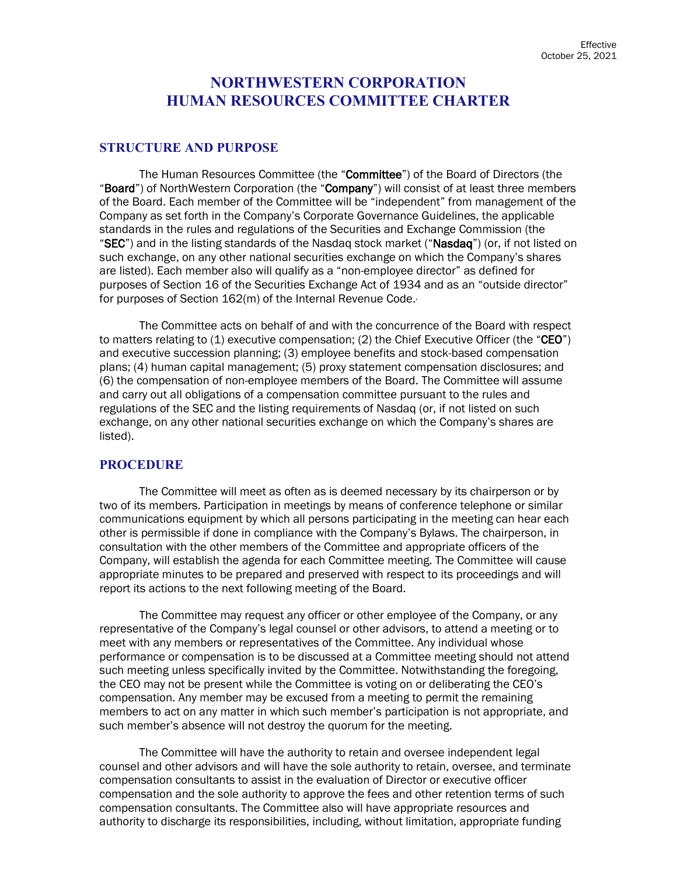# **NORTHWESTERN CORPORATION HUMAN RESOURCES COMMITTEE CHARTER**

# **STRUCTURE AND PURPOSE**

The Human Resources Committee (the "Committee") of the Board of Directors (the "Board") of NorthWestern Corporation (the "Company") will consist of at least three members of the Board. Each member of the Committee will be "independent" from management of the Company as set forth in the Company's Corporate Governance Guidelines, the applicable standards in the rules and regulations of the Securities and Exchange Commission (the "SEC") and in the listing standards of the Nasdaq stock market ("Nasdaq") (or, if not listed on such exchange, on any other national securities exchange on which the Company's shares are listed). Each member also will qualify as a "non-employee director" as defined for purposes of Section 16 of the Securities Exchange Act of 1934 and as an "outside director" for purposes of Section 162(m) of the Internal Revenue Code.

The Committee acts on behalf of and with the concurrence of the Board with respect to matters relating to  $(1)$  executive compensation;  $(2)$  the Chief Executive Officer (the "CEO") and executive succession planning; (3) employee benefits and stock-based compensation plans; (4) human capital management; (5) proxy statement compensation disclosures; and (6) the compensation of non-employee members of the Board. The Committee will assume and carry out all obligations of a compensation committee pursuant to the rules and regulations of the SEC and the listing requirements of Nasdaq (or, if not listed on such exchange, on any other national securities exchange on which the Company's shares are listed).

#### **PROCEDURE**

The Committee will meet as often as is deemed necessary by its chairperson or by two of its members. Participation in meetings by means of conference telephone or similar communications equipment by which all persons participating in the meeting can hear each other is permissible if done in compliance with the Company's Bylaws. The chairperson, in consultation with the other members of the Committee and appropriate officers of the Company, will establish the agenda for each Committee meeting. The Committee will cause appropriate minutes to be prepared and preserved with respect to its proceedings and will report its actions to the next following meeting of the Board.

The Committee may request any officer or other employee of the Company, or any representative of the Company's legal counsel or other advisors, to attend a meeting or to meet with any members or representatives of the Committee. Any individual whose performance or compensation is to be discussed at a Committee meeting should not attend such meeting unless specifically invited by the Committee. Notwithstanding the foregoing, the CEO may not be present while the Committee is voting on or deliberating the CEO's compensation. Any member may be excused from a meeting to permit the remaining members to act on any matter in which such member's participation is not appropriate, and such member's absence will not destroy the quorum for the meeting.

The Committee will have the authority to retain and oversee independent legal counsel and other advisors and will have the sole authority to retain, oversee, and terminate compensation consultants to assist in the evaluation of Director or executive officer compensation and the sole authority to approve the fees and other retention terms of such compensation consultants. The Committee also will have appropriate resources and authority to discharge its responsibilities, including, without limitation, appropriate funding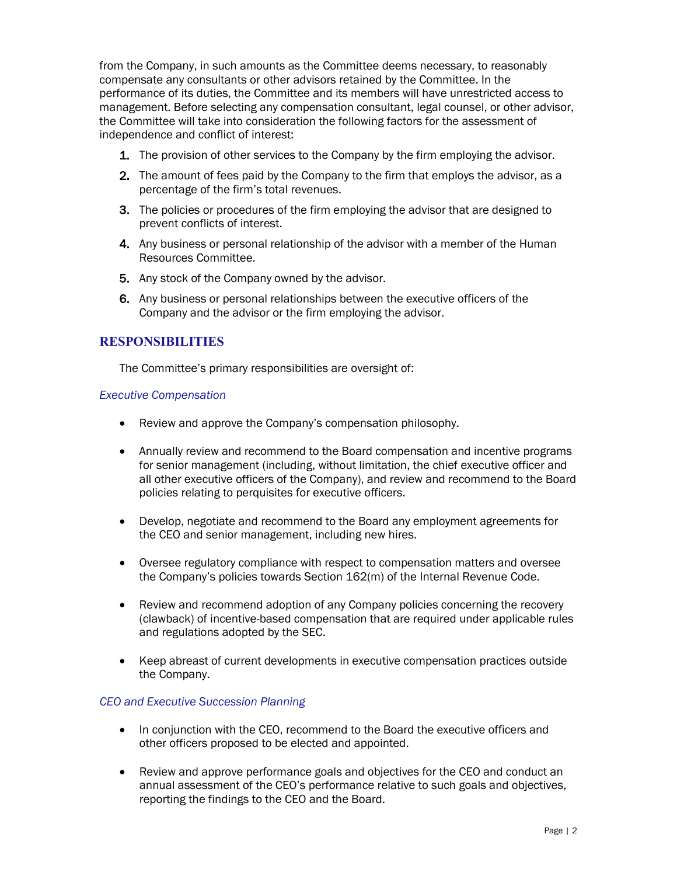from the Company, in such amounts as the Committee deems necessary, to reasonably compensate any consultants or other advisors retained by the Committee. In the performance of its duties, the Committee and its members will have unrestricted access to management. Before selecting any compensation consultant, legal counsel, or other advisor, the Committee will take into consideration the following factors for the assessment of independence and conflict of interest:

- **1.** The provision of other services to the Company by the firm employing the advisor.
- 2. The amount of fees paid by the Company to the firm that employs the advisor, as a percentage of the firm's total revenues.
- 3. The policies or procedures of the firm employing the advisor that are designed to prevent conflicts of interest.
- 4. Any business or personal relationship of the advisor with a member of the Human Resources Committee.
- 5. Any stock of the Company owned by the advisor.
- 6. Any business or personal relationships between the executive officers of the Company and the advisor or the firm employing the advisor.

# **RESPONSIBILITIES**

The Committee's primary responsibilities are oversight of:

### *Executive Compensation*

- Review and approve the Company's compensation philosophy.
- Annually review and recommend to the Board compensation and incentive programs for senior management (including, without limitation, the chief executive officer and all other executive officers of the Company), and review and recommend to the Board policies relating to perquisites for executive officers.
- Develop, negotiate and recommend to the Board any employment agreements for the CEO and senior management, including new hires.
- Oversee regulatory compliance with respect to compensation matters and oversee the Company's policies towards Section 162(m) of the Internal Revenue Code.
- Review and recommend adoption of any Company policies concerning the recovery (clawback) of incentive-based compensation that are required under applicable rules and regulations adopted by the SEC.
- Keep abreast of current developments in executive compensation practices outside the Company.

#### *CEO and Executive Succession Planning*

- In conjunction with the CEO, recommend to the Board the executive officers and other officers proposed to be elected and appointed.
- Review and approve performance goals and objectives for the CEO and conduct an annual assessment of the CEO's performance relative to such goals and objectives, reporting the findings to the CEO and the Board.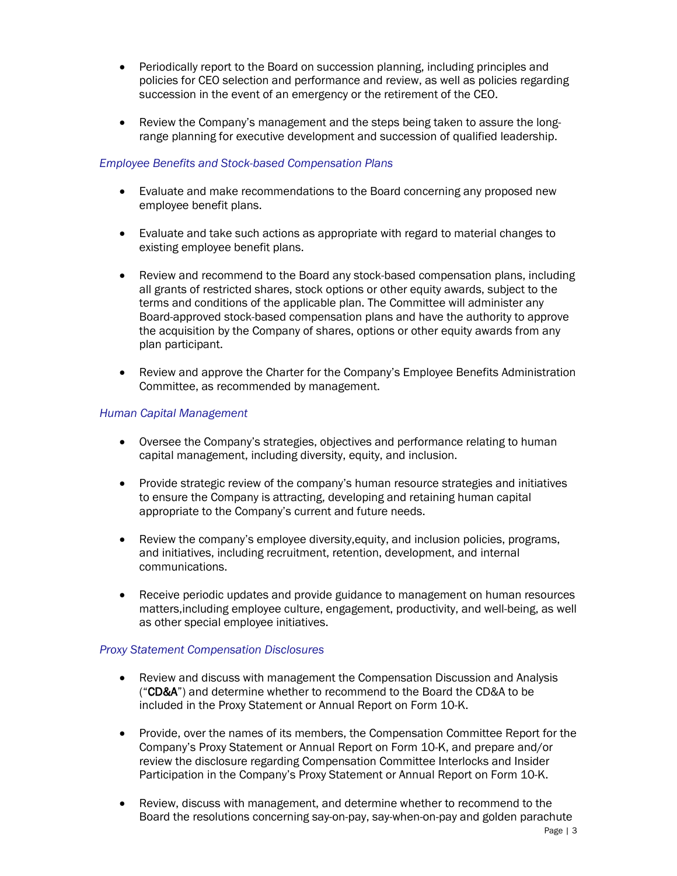- Periodically report to the Board on succession planning, including principles and policies for CEO selection and performance and review, as well as policies regarding succession in the event of an emergency or the retirement of the CEO.
- Review the Company's management and the steps being taken to assure the longrange planning for executive development and succession of qualified leadership.

## *Employee Benefits and Stock-based Compensation Plans*

- Evaluate and make recommendations to the Board concerning any proposed new employee benefit plans.
- Evaluate and take such actions as appropriate with regard to material changes to existing employee benefit plans.
- Review and recommend to the Board any stock-based compensation plans, including all grants of restricted shares, stock options or other equity awards, subject to the terms and conditions of the applicable plan. The Committee will administer any Board-approved stock-based compensation plans and have the authority to approve the acquisition by the Company of shares, options or other equity awards from any plan participant.
- Review and approve the Charter for the Company's Employee Benefits Administration Committee, as recommended by management.

# *Human Capital Management*

- Oversee the Company's strategies, objectives and performance relating to human capital management, including diversity, equity, and inclusion.
- Provide strategic review of the company's human resource strategies and initiatives to ensure the Company is attracting, developing and retaining human capital appropriate to the Company's current and future needs.
- Review the company's employee diversity,equity, and inclusion policies, programs, and initiatives, including recruitment, retention, development, and internal communications.
- Receive periodic updates and provide guidance to management on human resources matters,including employee culture, engagement, productivity, and well-being, as well as other special employee initiatives.

#### *Proxy Statement Compensation Disclosures*

- Review and discuss with management the Compensation Discussion and Analysis ("CD&A") and determine whether to recommend to the Board the CD&A to be included in the Proxy Statement or Annual Report on Form 10-K.
- Provide, over the names of its members, the Compensation Committee Report for the Company's Proxy Statement or Annual Report on Form 10-K, and prepare and/or review the disclosure regarding Compensation Committee Interlocks and Insider Participation in the Company's Proxy Statement or Annual Report on Form 10-K.
- Review, discuss with management, and determine whether to recommend to the Board the resolutions concerning say-on-pay, say-when-on-pay and golden parachute